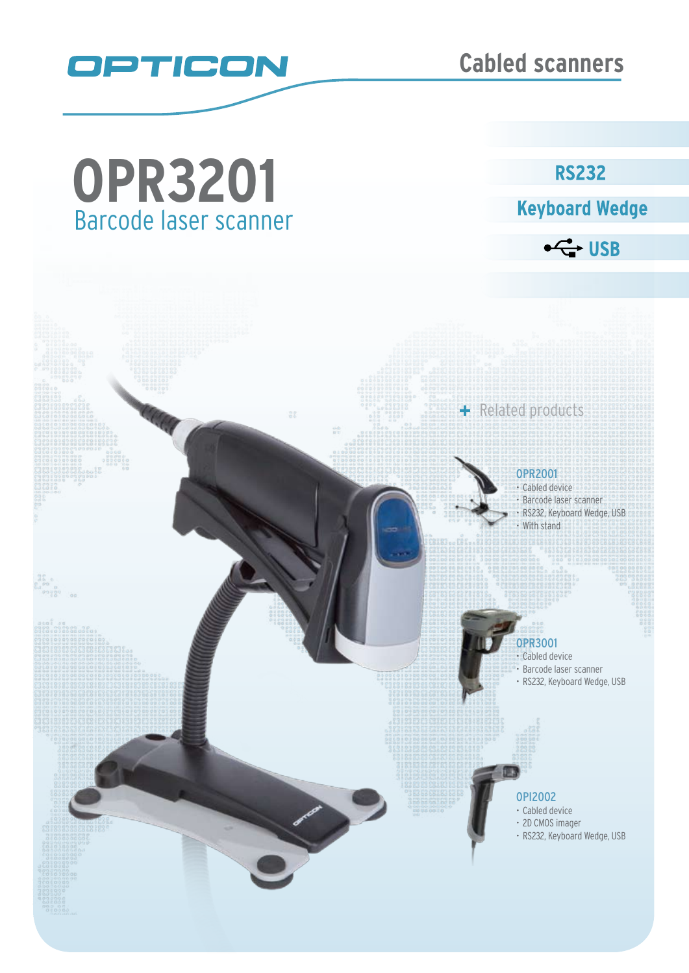

Barcode laser scanner **OPR3201**

# **RS232**

**Keyboard Wedge** 

 $\leftarrow$  USB